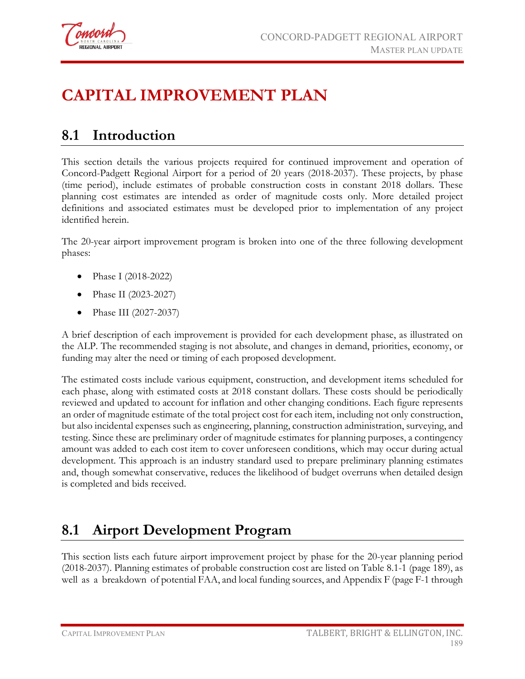

## **CAPITAL IMPROVEMENT PLAN**

## **8.1 Introduction**

This section details the various projects required for continued improvement and operation of Concord-Padgett Regional Airport for a period of 20 years (2018-2037). These projects, by phase (time period), include estimates of probable construction costs in constant 2018 dollars. These planning cost estimates are intended as order of magnitude costs only. More detailed project definitions and associated estimates must be developed prior to implementation of any project identified herein.

The 20-year airport improvement program is broken into one of the three following development phases:

- Phase I (2018-2022)
- Phase II (2023-2027)
- Phase III (2027-2037)

A brief description of each improvement is provided for each development phase, as illustrated on the ALP. The recommended staging is not absolute, and changes in demand, priorities, economy, or funding may alter the need or timing of each proposed development.

The estimated costs include various equipment, construction, and development items scheduled for each phase, along with estimated costs at 2018 constant dollars. These costs should be periodically reviewed and updated to account for inflation and other changing conditions. Each figure represents an order of magnitude estimate of the total project cost for each item, including not only construction, but also incidental expenses such as engineering, planning, construction administration, surveying, and testing. Since these are preliminary order of magnitude estimates for planning purposes, a contingency amount was added to each cost item to cover unforeseen conditions, which may occur during actual development. This approach is an industry standard used to prepare preliminary planning estimates and, though somewhat conservative, reduces the likelihood of budget overruns when detailed design is completed and bids received.

## **8.1 Airport Development Program**

This section lists each future airport improvement project by phase for the 20-year planning period (2018-2037). Planning estimates of probable construction cost are listed on Table 8.1-1 (page 189), as well as a breakdown of potential FAA, and local funding sources, and Appendix F (page F-1 through